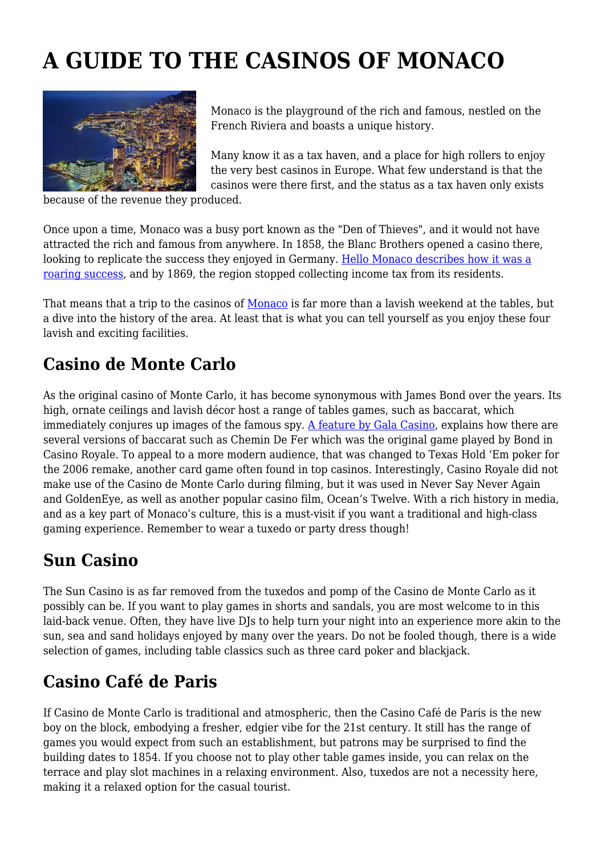# **A GUIDE TO THE CASINOS OF MONACO**



Monaco is the playground of the rich and famous, nestled on the French Riviera and boasts a unique history.

Many know it as a tax haven, and a place for high rollers to enjoy the very best casinos in Europe. What few understand is that the casinos were there first, and the status as a tax haven only exists

because of the revenue they produced.

Once upon a time, Monaco was a busy port known as the "Den of Thieves", and it would not have attracted the rich and famous from anywhere. In 1858, the Blanc Brothers opened a casino there, looking to replicate the success they enjoyed in Germany. [Hello Monaco describes how it was a](https://www.hellomonaco.com/sightseeing/history-pages/francois-and-marie-blanc-on-a-tricky-path-to-the-dream-and-prosperity-en/) [roaring success](https://www.hellomonaco.com/sightseeing/history-pages/francois-and-marie-blanc-on-a-tricky-path-to-the-dream-and-prosperity-en/), and by 1869, the region stopped collecting income tax from its residents.

That means that a trip to the casinos of [Monaco](https://www.tourism-review.com/french-riviera-hotels-are-gradually-closing-down-news11761) is far more than a lavish weekend at the tables, but a dive into the history of the area. At least that is what you can tell yourself as you enjoy these four lavish and exciting facilities.

### **Casino de Monte Carlo**

As the original casino of Monte Carlo, it has become synonymous with James Bond over the years. Its high, ornate ceilings and lavish décor host a range of tables games, such as baccarat, which immediately conjures up images of the famous spy. [A feature by Gala Casino](https://www.galacasino.com/en/p/news/most-popular-casino-games-world), explains how there are several versions of baccarat such as Chemin De Fer which was the original game played by Bond in Casino Royale. To appeal to a more modern audience, that was changed to Texas Hold 'Em poker for the 2006 remake, another card game often found in top casinos. Interestingly, Casino Royale did not make use of the Casino de Monte Carlo during filming, but it was used in Never Say Never Again and GoldenEye, as well as another popular casino film, Ocean's Twelve. With a rich history in media, and as a key part of Monaco's culture, this is a must-visit if you want a traditional and high-class gaming experience. Remember to wear a tuxedo or party dress though!

#### **Sun Casino**

The Sun Casino is as far removed from the tuxedos and pomp of the Casino de Monte Carlo as it possibly can be. If you want to play games in shorts and sandals, you are most welcome to in this laid-back venue. Often, they have live DJs to help turn your night into an experience more akin to the sun, sea and sand holidays enjoyed by many over the years. Do not be fooled though, there is a wide selection of games, including table classics such as three card poker and blackjack.

## **Casino Café de Paris**

If Casino de Monte Carlo is traditional and atmospheric, then the Casino Café de Paris is the new boy on the block, embodying a fresher, edgier vibe for the 21st century. It still has the range of games you would expect from such an establishment, but patrons may be surprised to find the building dates to 1854. If you choose not to play other table games inside, you can relax on the terrace and play slot machines in a relaxing environment. Also, tuxedos are not a necessity here, making it a relaxed option for the casual tourist.